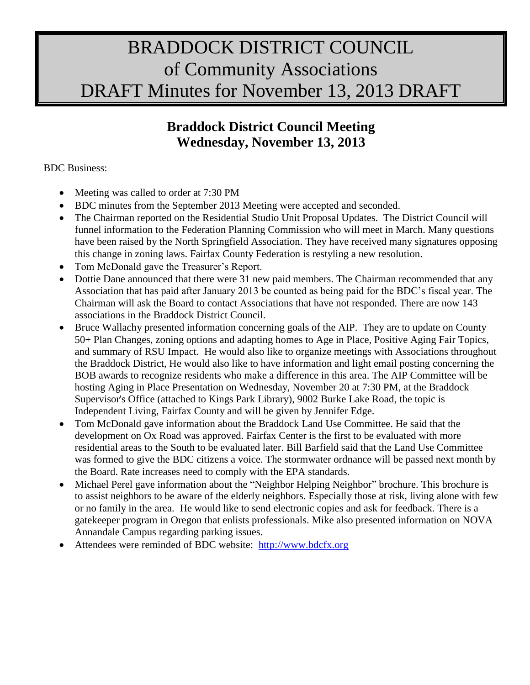# BRADDOCK DISTRICT COUNCIL of Community Associations DRAFT Minutes for November 13, 2013 DRAFT

# **Braddock District Council Meeting Wednesday, November 13, 2013**

#### BDC Business:

- Meeting was called to order at 7:30 PM
- BDC minutes from the September 2013 Meeting were accepted and seconded.
- The Chairman reported on the Residential Studio Unit Proposal Updates. The District Council will funnel information to the Federation Planning Commission who will meet in March. Many questions have been raised by the North Springfield Association. They have received many signatures opposing this change in zoning laws. Fairfax County Federation is restyling a new resolution.
- Tom McDonald gave the Treasurer's Report.
- Dottie Dane announced that there were 31 new paid members. The Chairman recommended that any Association that has paid after January 2013 be counted as being paid for the BDC's fiscal year. The Chairman will ask the Board to contact Associations that have not responded. There are now 143 associations in the Braddock District Council.
- Bruce Wallachy presented information concerning goals of the AIP. They are to update on County 50+ Plan Changes, zoning options and adapting homes to Age in Place, Positive Aging Fair Topics, and summary of RSU Impact. He would also like to organize meetings with Associations throughout the Braddock District, He would also like to have information and light email posting concerning the BOB awards to recognize residents who make a difference in this area. The AIP Committee will be hosting Aging in Place Presentation on Wednesday, November 20 at 7:30 PM, at the Braddock Supervisor's Office (attached to Kings Park Library), 9002 Burke Lake Road, the topic is Independent Living, Fairfax County and will be given by Jennifer Edge.
- Tom McDonald gave information about the Braddock Land Use Committee. He said that the development on Ox Road was approved. Fairfax Center is the first to be evaluated with more residential areas to the South to be evaluated later. Bill Barfield said that the Land Use Committee was formed to give the BDC citizens a voice. The stormwater ordnance will be passed next month by the Board. Rate increases need to comply with the EPA standards.
- Michael Perel gave information about the "Neighbor Helping Neighbor" brochure. This brochure is to assist neighbors to be aware of the elderly neighbors. Especially those at risk, living alone with few or no family in the area. He would like to send electronic copies and ask for feedback. There is a gatekeeper program in Oregon that enlists professionals. Mike also presented information on NOVA Annandale Campus regarding parking issues.
- Attendees were reminded of BDC website: [http://www.bdcfx.org](http://www.bdcfx.org/)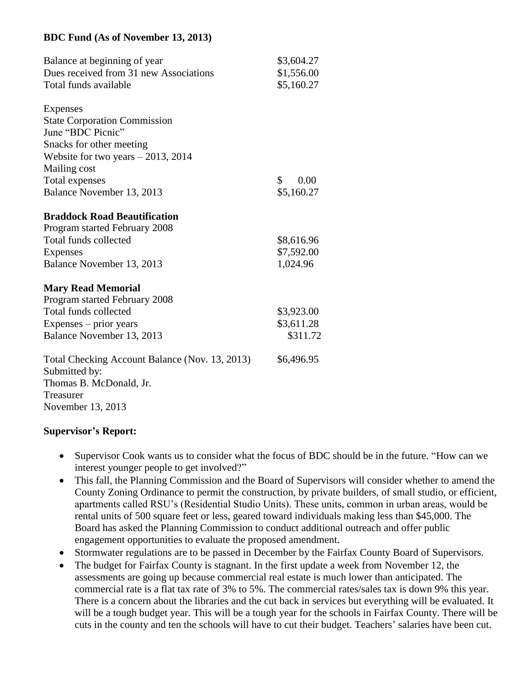#### **BDC Fund (As of November 13, 2013)**

| Balance at beginning of year                   | \$3,604.27           |
|------------------------------------------------|----------------------|
| Dues received from 31 new Associations         | \$1,556.00           |
| Total funds available                          | \$5,160.27           |
|                                                |                      |
| Expenses                                       |                      |
| <b>State Corporation Commission</b>            |                      |
| June "BDC Picnic"                              |                      |
| Snacks for other meeting                       |                      |
| Website for two years $-2013$ , 2014           |                      |
| Mailing cost                                   |                      |
| Total expenses                                 | $\mathbb{S}$<br>0.00 |
| Balance November 13, 2013                      | \$5,160.27           |
| <b>Braddock Road Beautification</b>            |                      |
| Program started February 2008                  |                      |
| Total funds collected                          | \$8,616.96           |
| <b>Expenses</b>                                | \$7,592.00           |
| Balance November 13, 2013                      | 1,024.96             |
|                                                |                      |
| <b>Mary Read Memorial</b>                      |                      |
| Program started February 2008                  |                      |
| Total funds collected                          | \$3,923.00           |
| Expenses – prior years                         | \$3,611.28           |
| Balance November 13, 2013                      | \$311.72             |
| Total Checking Account Balance (Nov. 13, 2013) | \$6,496.95           |
| Submitted by:                                  |                      |
| Thomas B. McDonald, Jr.                        |                      |
| Treasurer                                      |                      |
| November 13, 2013                              |                      |

#### **Supervisor's Report:**

- Supervisor Cook wants us to consider what the focus of BDC should be in the future. "How can we interest younger people to get involved?"
- This fall, the Planning Commission and the Board of Supervisors will consider whether to amend the County Zoning Ordinance to permit the construction, by private builders, of small studio, or efficient, apartments called RSU's (Residential Studio Units). These units, common in urban areas, would be rental units of 500 square feet or less, geared toward individuals making less than \$45,000. The Board has asked the Planning Commission to conduct additional outreach and offer public engagement opportunities to evaluate the proposed amendment.
- Stormwater regulations are to be passed in December by the Fairfax County Board of Supervisors.
- The budget for Fairfax County is stagnant. In the first update a week from November 12, the assessments are going up because commercial real estate is much lower than anticipated. The commercial rate is a flat tax rate of 3% to 5%. The commercial rates/sales tax is down 9% this year. There is a concern about the libraries and the cut back in services but everything will be evaluated. It will be a tough budget year. This will be a tough year for the schools in Fairfax County. There will be cuts in the county and ten the schools will have to cut their budget. Teachers' salaries have been cut.